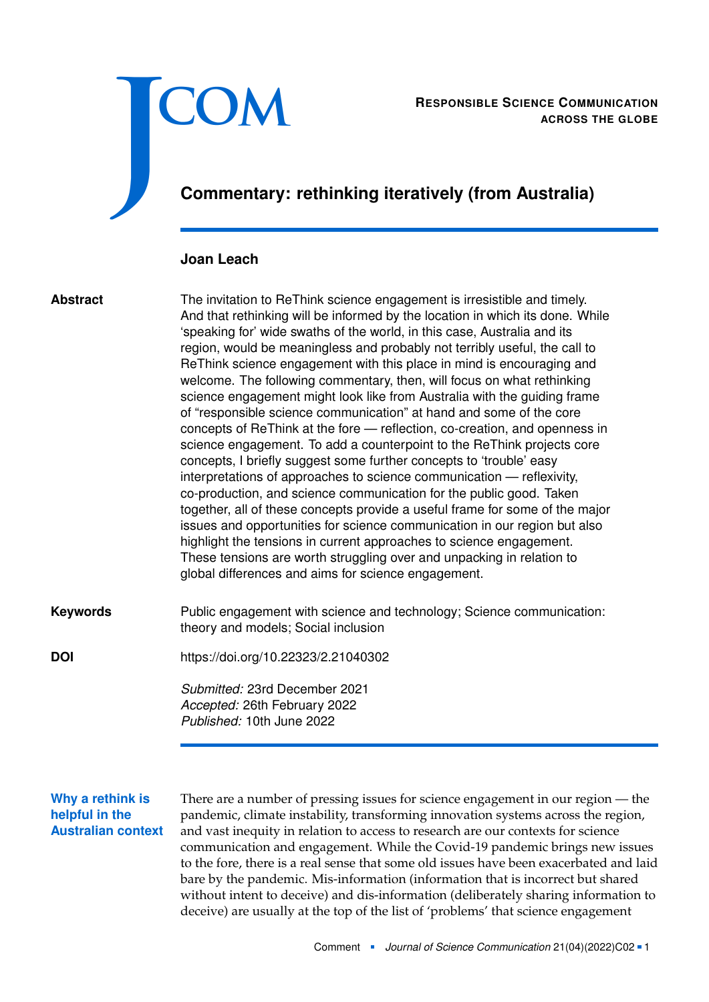

RESPONSIBLE SCIENCE COMMUNICATION<br>ACROSS THE GLOBE **ACROSS THE GLOBE**

# **Commentary: rethinking iteratively (from Australia)**

#### **Joan Leach**

#### **Abstract**

The invitation to ReThink science engagement is irresistible and timely. And that rethinking will be informed by the location in which its done. While 'speaking for' wide swaths of the world, in this case, Australia and its region, would be meaningless and probably not terribly useful, the call to ReThink science engagement with this place in mind is encouraging and welcome. The following commentary, then, will focus on what rethinking science engagement might look like from Australia with the guiding frame of "responsible science communication" at hand and some of the core concepts of ReThink at the fore — reflection, co-creation, and openness in science engagement. To add a counterpoint to the ReThink projects core concepts, I briefly suggest some further concepts to 'trouble' easy interpretations of approaches to science communication — reflexivity, co-production, and science communication for the public good. Taken together, all of these concepts provide a useful frame for some of the major issues and opportunities for science communication in our region but also highlight the tensions in current approaches to science engagement. These tensions are worth struggling over and unpacking in relation to global differences and aims for science engagement.

Public engagement with science and technology; Science communication: theory and models; Social inclusion **Keywords**

**DOI** <https://doi.org/10.22323/2.21040302>

*Submitted:* 23rd December 2021 *Accepted:* 26th February 2022 *Published:* 10th June 2022

## **Why a rethink is helpful in the Australian context**

There are a number of pressing issues for science engagement in our region — the pandemic, climate instability, transforming innovation systems across the region, and vast inequity in relation to access to research are our contexts for science communication and engagement. While the Covid-19 pandemic brings new issues to the fore, there is a real sense that some old issues have been exacerbated and laid bare by the pandemic. Mis-information (information that is incorrect but shared without intent to deceive) and dis-information (deliberately sharing information to deceive) are usually at the top of the list of 'problems' that science engagement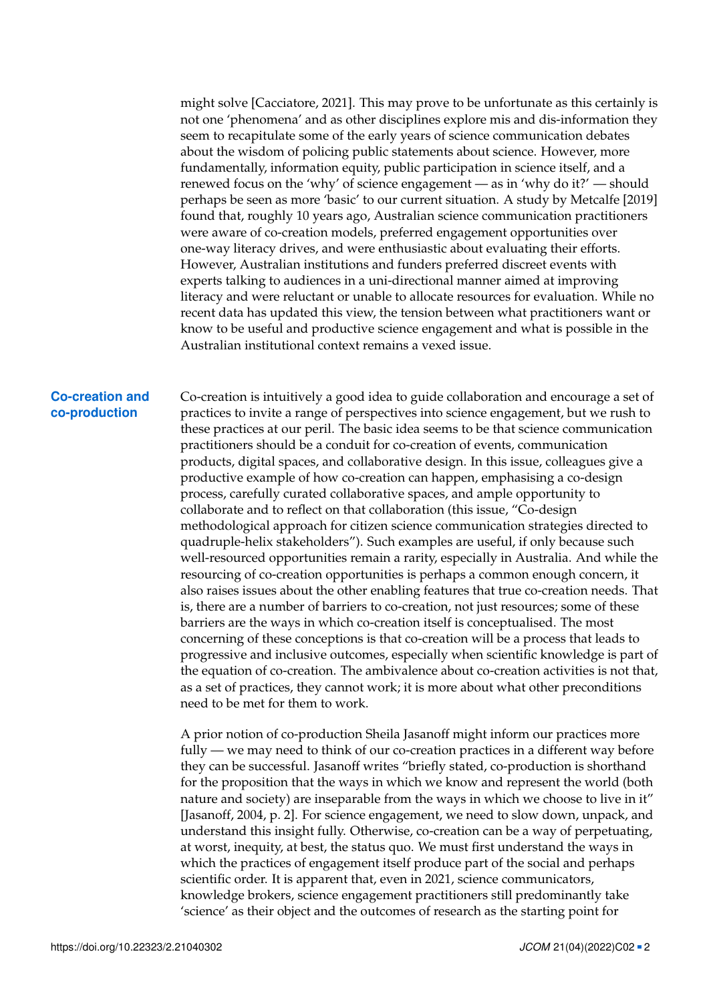might solve [Cacciatore, [2021\]](#page-4-0). This may prove to be unfortunate as this certainly is not one 'phenomena' and as other disciplines explore mis and dis-information they seem to recapitulate some of the early years of science communication debates about the wisdom of policing public statements about science. However, more fundamentally, information equity, public participation in science itself, and a renewed focus on the 'why' of science engagement — as in 'why do it?' — should perhaps be seen as more 'basic' to our current situation. A study by Metcalfe [\[2019\]](#page-4-1) found that, roughly 10 years ago, Australian science communication practitioners were aware of co-creation models, preferred engagement opportunities over one-way literacy drives, and were enthusiastic about evaluating their efforts. However, Australian institutions and funders preferred discreet events with experts talking to audiences in a uni-directional manner aimed at improving literacy and were reluctant or unable to allocate resources for evaluation. While no recent data has updated this view, the tension between what practitioners want or know to be useful and productive science engagement and what is possible in the Australian institutional context remains a vexed issue.

#### **Co-creation and co-production**

Co-creation is intuitively a good idea to guide collaboration and encourage a set of practices to invite a range of perspectives into science engagement, but we rush to these practices at our peril. The basic idea seems to be that science communication practitioners should be a conduit for co-creation of events, communication products, digital spaces, and collaborative design. In this issue, colleagues give a productive example of how co-creation can happen, emphasising a co-design process, carefully curated collaborative spaces, and ample opportunity to collaborate and to reflect on that collaboration (this issue, "Co-design methodological approach for citizen science communication strategies directed to quadruple-helix stakeholders"). Such examples are useful, if only because such well-resourced opportunities remain a rarity, especially in Australia. And while the resourcing of co-creation opportunities is perhaps a common enough concern, it also raises issues about the other enabling features that true co-creation needs. That is, there are a number of barriers to co-creation, not just resources; some of these barriers are the ways in which co-creation itself is conceptualised. The most concerning of these conceptions is that co-creation will be a process that leads to progressive and inclusive outcomes, especially when scientific knowledge is part of the equation of co-creation. The ambivalence about co-creation activities is not that, as a set of practices, they cannot work; it is more about what other preconditions need to be met for them to work.

A prior notion of co-production Sheila Jasanoff might inform our practices more fully — we may need to think of our co-creation practices in a different way before they can be successful. Jasanoff writes "briefly stated, co-production is shorthand for the proposition that the ways in which we know and represent the world (both nature and society) are inseparable from the ways in which we choose to live in it" [Jasanoff, [2004,](#page-4-2) p. 2]. For science engagement, we need to slow down, unpack, and understand this insight fully. Otherwise, co-creation can be a way of perpetuating, at worst, inequity, at best, the status quo. We must first understand the ways in which the practices of engagement itself produce part of the social and perhaps scientific order. It is apparent that, even in 2021, science communicators, knowledge brokers, science engagement practitioners still predominantly take 'science' as their object and the outcomes of research as the starting point for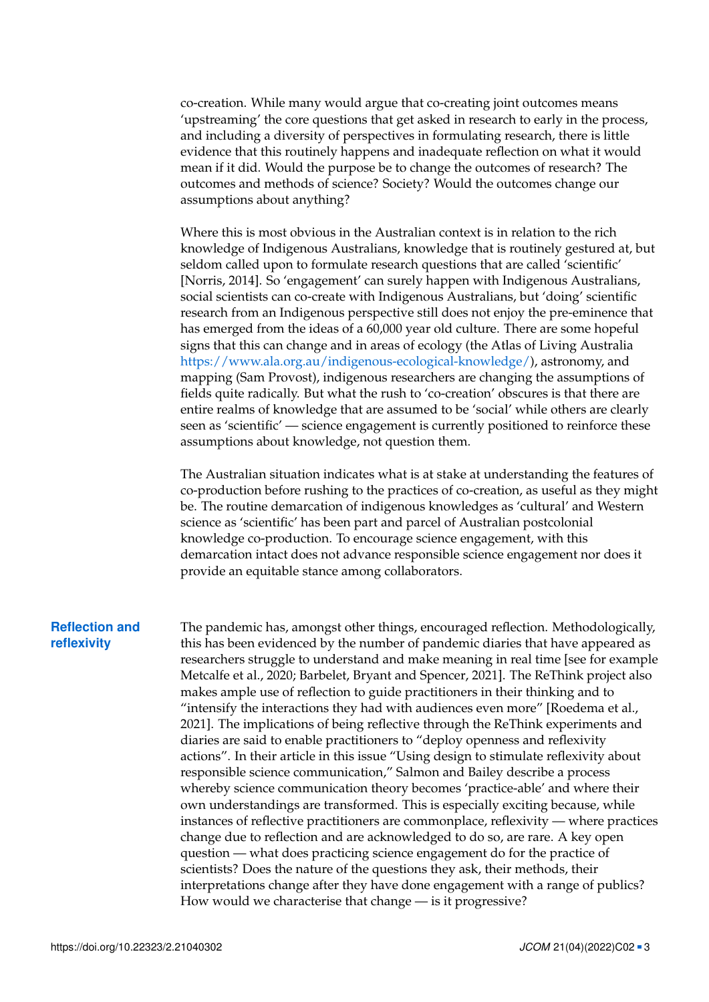co-creation. While many would argue that co-creating joint outcomes means 'upstreaming' the core questions that get asked in research to early in the process, and including a diversity of perspectives in formulating research, there is little evidence that this routinely happens and inadequate reflection on what it would mean if it did. Would the purpose be to change the outcomes of research? The outcomes and methods of science? Society? Would the outcomes change our assumptions about anything?

Where this is most obvious in the Australian context is in relation to the rich knowledge of Indigenous Australians, knowledge that is routinely gestured at, but seldom called upon to formulate research questions that are called 'scientific' [Norris, [2014\]](#page-4-3). So 'engagement' can surely happen with Indigenous Australians, social scientists can co-create with Indigenous Australians, but 'doing' scientific research from an Indigenous perspective still does not enjoy the pre-eminence that has emerged from the ideas of a 60,000 year old culture. There are some hopeful signs that this can change and in areas of ecology (the Atlas of Living Australia [https://www.ala.org.au/indigenous-ecological-knowledge/\)](https://www.ala.org.au/indigenous-ecological-knowledge/), astronomy, and mapping (Sam Provost), indigenous researchers are changing the assumptions of fields quite radically. But what the rush to 'co-creation' obscures is that there are entire realms of knowledge that are assumed to be 'social' while others are clearly seen as 'scientific' — science engagement is currently positioned to reinforce these assumptions about knowledge, not question them.

The Australian situation indicates what is at stake at understanding the features of co-production before rushing to the practices of co-creation, as useful as they might be. The routine demarcation of indigenous knowledges as 'cultural' and Western science as 'scientific' has been part and parcel of Australian postcolonial knowledge co-production. To encourage science engagement, with this demarcation intact does not advance responsible science engagement nor does it provide an equitable stance among collaborators.

#### **Reflection and reflexivity**

The pandemic has, amongst other things, encouraged reflection. Methodologically, this has been evidenced by the number of pandemic diaries that have appeared as researchers struggle to understand and make meaning in real time [see for example Metcalfe et al., [2020;](#page-4-4) Barbelet, Bryant and Spencer, [2021\]](#page-4-5). The ReThink project also makes ample use of reflection to guide practitioners in their thinking and to "intensify the interactions they had with audiences even more" [Roedema et al., [2021\]](#page-4-6). The implications of being reflective through the ReThink experiments and diaries are said to enable practitioners to "deploy openness and reflexivity actions". In their article in this issue "Using design to stimulate reflexivity about responsible science communication," Salmon and Bailey describe a process whereby science communication theory becomes 'practice-able' and where their own understandings are transformed. This is especially exciting because, while instances of reflective practitioners are commonplace, reflexivity — where practices change due to reflection and are acknowledged to do so, are rare. A key open question — what does practicing science engagement do for the practice of scientists? Does the nature of the questions they ask, their methods, their interpretations change after they have done engagement with a range of publics? How would we characterise that change — is it progressive?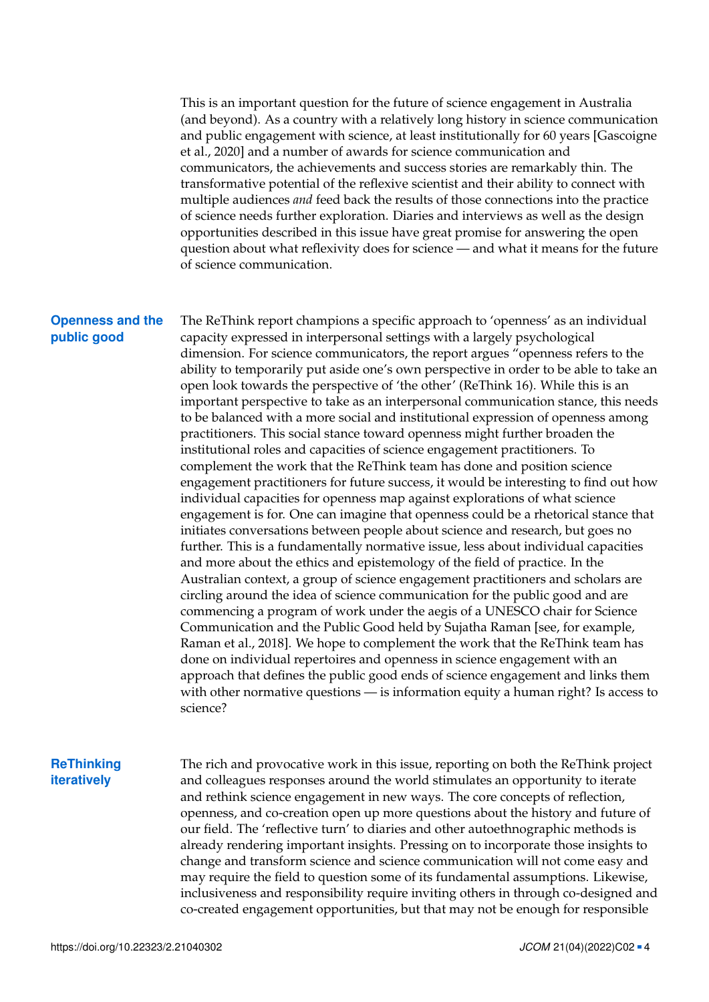This is an important question for the future of science engagement in Australia (and beyond). As a country with a relatively long history in science communication and public engagement with science, at least institutionally for 60 years [Gascoigne et al., [2020\]](#page-4-7) and a number of awards for science communication and communicators, the achievements and success stories are remarkably thin. The transformative potential of the reflexive scientist and their ability to connect with multiple audiences *and* feed back the results of those connections into the practice of science needs further exploration. Diaries and interviews as well as the design opportunities described in this issue have great promise for answering the open question about what reflexivity does for science — and what it means for the future of science communication.

#### **Openness and the public good**

The ReThink report champions a specific approach to 'openness' as an individual capacity expressed in interpersonal settings with a largely psychological dimension. For science communicators, the report argues "openness refers to the ability to temporarily put aside one's own perspective in order to be able to take an open look towards the perspective of 'the other' (ReThink 16). While this is an important perspective to take as an interpersonal communication stance, this needs to be balanced with a more social and institutional expression of openness among practitioners. This social stance toward openness might further broaden the institutional roles and capacities of science engagement practitioners. To complement the work that the ReThink team has done and position science engagement practitioners for future success, it would be interesting to find out how individual capacities for openness map against explorations of what science engagement is for. One can imagine that openness could be a rhetorical stance that initiates conversations between people about science and research, but goes no further. This is a fundamentally normative issue, less about individual capacities and more about the ethics and epistemology of the field of practice. In the Australian context, a group of science engagement practitioners and scholars are circling around the idea of science communication for the public good and are commencing a program of work under the aegis of a UNESCO chair for Science Communication and the Public Good held by Sujatha Raman [see, for example, Raman et al., [2018\]](#page-4-8). We hope to complement the work that the ReThink team has done on individual repertoires and openness in science engagement with an approach that defines the public good ends of science engagement and links them with other normative questions — is information equity a human right? Is access to science?

### **ReThinking iteratively**

The rich and provocative work in this issue, reporting on both the ReThink project and colleagues responses around the world stimulates an opportunity to iterate and rethink science engagement in new ways. The core concepts of reflection, openness, and co-creation open up more questions about the history and future of our field. The 'reflective turn' to diaries and other autoethnographic methods is already rendering important insights. Pressing on to incorporate those insights to change and transform science and science communication will not come easy and may require the field to question some of its fundamental assumptions. Likewise, inclusiveness and responsibility require inviting others in through co-designed and co-created engagement opportunities, but that may not be enough for responsible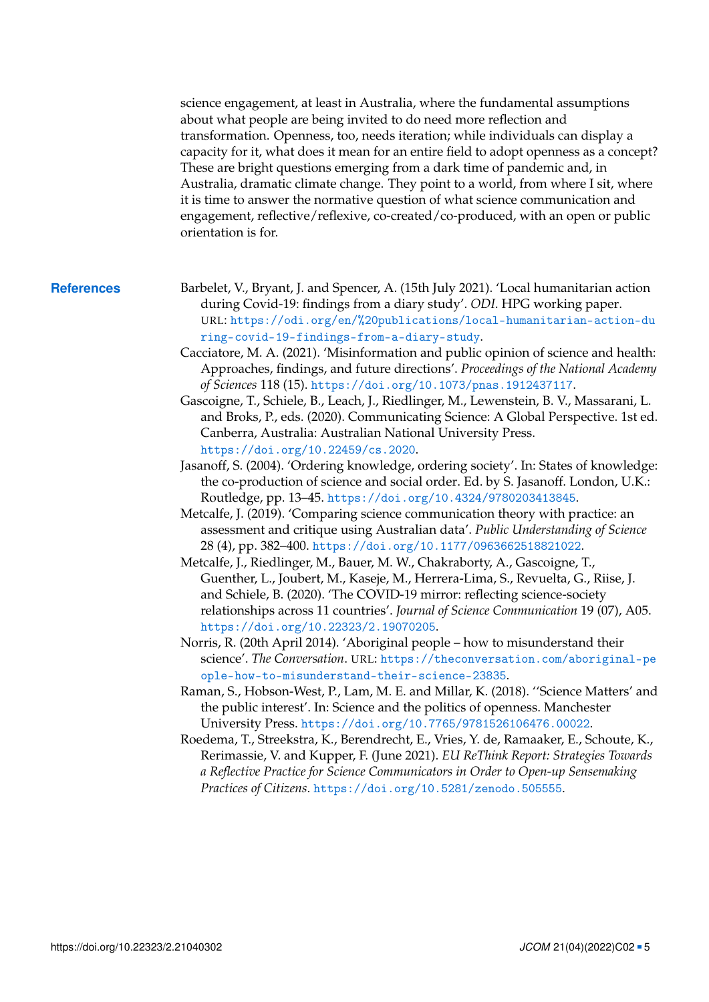science engagement, at least in Australia, where the fundamental assumptions about what people are being invited to do need more reflection and transformation. Openness, too, needs iteration; while individuals can display a capacity for it, what does it mean for an entire field to adopt openness as a concept? These are bright questions emerging from a dark time of pandemic and, in Australia, dramatic climate change. They point to a world, from where I sit, where it is time to answer the normative question of what science communication and engagement, reflective/reflexive, co-created/co-produced, with an open or public orientation is for.

- <span id="page-4-8"></span><span id="page-4-7"></span><span id="page-4-6"></span><span id="page-4-5"></span><span id="page-4-4"></span><span id="page-4-3"></span><span id="page-4-2"></span><span id="page-4-1"></span><span id="page-4-0"></span>**References** Barbelet, V., Bryant, J. and Spencer, A. (15th July 2021). 'Local humanitarian action during Covid-19: findings from a diary study'. *ODI*. HPG working paper. URL: [https://odi.org/en/%20publications/local-humanitarian-action-du](https://odi.org/en/%20publications/local-humanitarian-action-during-covid-19-findings-from-a-diary-study) [ring-covid-19-findings-from-a-diary-study](https://odi.org/en/%20publications/local-humanitarian-action-during-covid-19-findings-from-a-diary-study).
	- Cacciatore, M. A. (2021). 'Misinformation and public opinion of science and health: Approaches, findings, and future directions'. *Proceedings of the National Academy of Sciences* 118 (15). <https://doi.org/10.1073/pnas.1912437117>.
	- Gascoigne, T., Schiele, B., Leach, J., Riedlinger, M., Lewenstein, B. V., Massarani, L. and Broks, P., eds. (2020). Communicating Science: A Global Perspective. 1st ed. Canberra, Australia: Australian National University Press. <https://doi.org/10.22459/cs.2020>.
	- Jasanoff, S. (2004). 'Ordering knowledge, ordering society'. In: States of knowledge: the co-production of science and social order. Ed. by S. Jasanoff. London, U.K.: Routledge, pp. 13–45. <https://doi.org/10.4324/9780203413845>.
	- Metcalfe, J. (2019). 'Comparing science communication theory with practice: an assessment and critique using Australian data'. *Public Understanding of Science* 28 (4), pp. 382–400. <https://doi.org/10.1177/0963662518821022>.
	- Metcalfe, J., Riedlinger, M., Bauer, M. W., Chakraborty, A., Gascoigne, T., Guenther, L., Joubert, M., Kaseje, M., Herrera-Lima, S., Revuelta, G., Riise, J. and Schiele, B. (2020). 'The COVID-19 mirror: reflecting science-society relationships across 11 countries'. *Journal of Science Communication* 19 (07), A05. <https://doi.org/10.22323/2.19070205>.
	- Norris, R. (20th April 2014). 'Aboriginal people how to misunderstand their science'. *The Conversation*. URL: [https://theconversation.com/aboriginal-pe](https://theconversation.com/aboriginal-people-how-to-misunderstand-their-science-23835) [ople-how-to-misunderstand-their-science-23835](https://theconversation.com/aboriginal-people-how-to-misunderstand-their-science-23835).
	- Raman, S., Hobson-West, P., Lam, M. E. and Millar, K. (2018). ''Science Matters' and the public interest'. In: Science and the politics of openness. Manchester University Press. <https://doi.org/10.7765/9781526106476.00022>.
	- Roedema, T., Streekstra, K., Berendrecht, E., Vries, Y. de, Ramaaker, E., Schoute, K., Rerimassie, V. and Kupper, F. (June 2021). *EU ReThink Report: Strategies Towards a Reflective Practice for Science Communicators in Order to Open-up Sensemaking Practices of Citizens*. <https://doi.org/10.5281/zenodo.505555>.